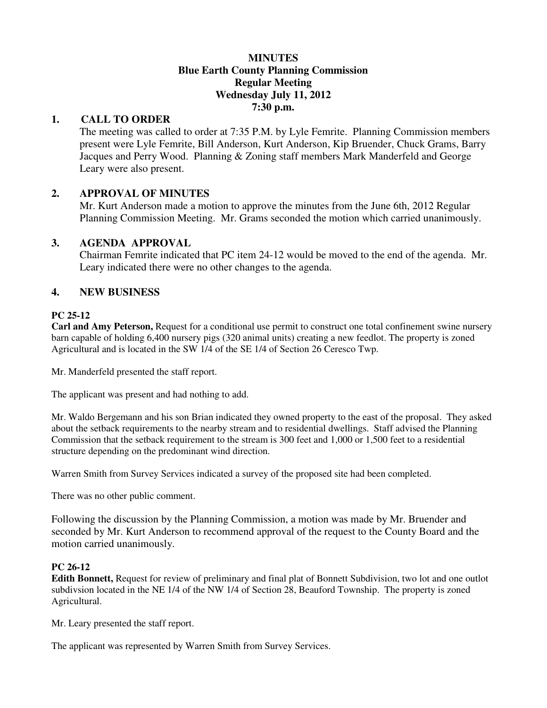### **MINUTES Blue Earth County Planning Commission Regular Meeting Wednesday July 11, 2012 7:30 p.m.**

# **1. CALL TO ORDER**

The meeting was called to order at 7:35 P.M. by Lyle Femrite. Planning Commission members present were Lyle Femrite, Bill Anderson, Kurt Anderson, Kip Bruender, Chuck Grams, Barry Jacques and Perry Wood. Planning & Zoning staff members Mark Manderfeld and George Leary were also present.

# **2. APPROVAL OF MINUTES**

Mr. Kurt Anderson made a motion to approve the minutes from the June 6th, 2012 Regular Planning Commission Meeting. Mr. Grams seconded the motion which carried unanimously.

### **3. AGENDA APPROVAL**

 Chairman Femrite indicated that PC item 24-12 would be moved to the end of the agenda. Mr. Leary indicated there were no other changes to the agenda.

# **4. NEW BUSINESS**

### **PC 25-12**

**Carl and Amy Peterson,** Request for a conditional use permit to construct one total confinement swine nursery barn capable of holding 6,400 nursery pigs (320 animal units) creating a new feedlot. The property is zoned Agricultural and is located in the SW 1/4 of the SE 1/4 of Section 26 Ceresco Twp.

Mr. Manderfeld presented the staff report.

The applicant was present and had nothing to add.

Mr. Waldo Bergemann and his son Brian indicated they owned property to the east of the proposal. They asked about the setback requirements to the nearby stream and to residential dwellings. Staff advised the Planning Commission that the setback requirement to the stream is 300 feet and 1,000 or 1,500 feet to a residential structure depending on the predominant wind direction.

Warren Smith from Survey Services indicated a survey of the proposed site had been completed.

There was no other public comment.

Following the discussion by the Planning Commission, a motion was made by Mr. Bruender and seconded by Mr. Kurt Anderson to recommend approval of the request to the County Board and the motion carried unanimously.

### **PC 26-12**

**Edith Bonnett,** Request for review of preliminary and final plat of Bonnett Subdivision, two lot and one outlot subdivsion located in the NE 1/4 of the NW 1/4 of Section 28, Beauford Township. The property is zoned Agricultural.

Mr. Leary presented the staff report.

The applicant was represented by Warren Smith from Survey Services.